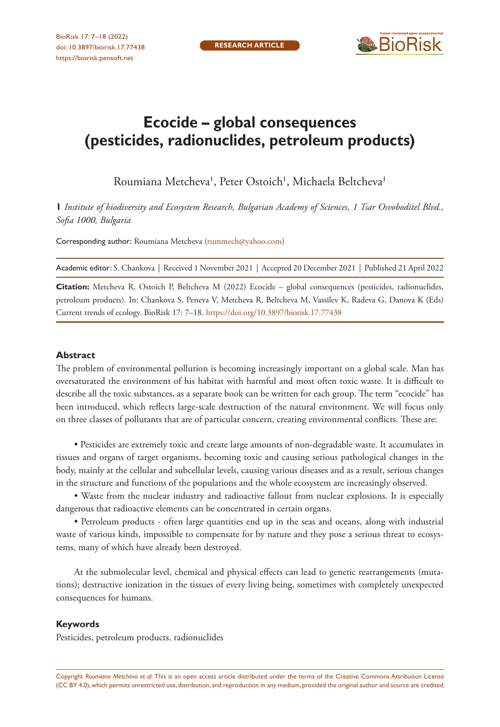

# **Ecocide – global consequences (pesticides, radionuclides, petroleum products)**

Roumiana Metcheva', Peter Ostoich', Michaela Beltcheva'

**1** *Institute of biodiversity and Ecosystem Research, Bulgarian Academy of Sciences, 1 Tsar Osvoboditel Blvd., Sofia 1000, Bulgaria*

Corresponding author: Roumiana Metcheva ([rummech@yahoo.com\)](mailto:rummech@yahoo.com)

Academic editor: S. Chankova | Received 1 November 2021 | Accepted 20 December 2021 | Published 21 April 2022

**Citation:** Metcheva R, Ostoich P, Beltcheva M (2022) Ecocide – global consequences (pesticides, radionuclides, petroleum products). In: Chankova S, Peneva V, Metcheva R, Beltcheva M, Vassilev K, Radeva G, Danova K (Eds) Current trends of ecology. BioRisk 17: 7–18. <https://doi.org/10.3897/biorisk.17.77438>

#### **Abstract**

The problem of environmental pollution is becoming increasingly important on a global scale. Man has oversaturated the environment of his habitat with harmful and most often toxic waste. It is difficult to describe all the toxic substances, as a separate book can be written for each group. The term "ecocide" has been introduced, which reflects large-scale destruction of the natural environment. We will focus only on three classes of pollutants that are of particular concern, creating environmental conflicts. These are:

• Pesticides are extremely toxic and create large amounts of non-degradable waste. It accumulates in tissues and organs of target organisms, becoming toxic and causing serious pathological changes in the body, mainly at the cellular and subcellular levels, causing various diseases and as a result, serious changes in the structure and functions of the populations and the whole ecosystem are increasingly observed.

• Waste from the nuclear industry and radioactive fallout from nuclear explosions. It is especially dangerous that radioactive elements can be concentrated in certain organs.

• Petroleum products - often large quantities end up in the seas and oceans, along with industrial waste of various kinds, impossible to compensate for by nature and they pose a serious threat to ecosystems, many of which have already been destroyed.

At the submolecular level, chemical and physical effects can lead to genetic rearrangements (mutations); destructive ionization in the tissues of every living being, sometimes with completely unexpected consequences for humans.

#### **Keywords**

Pesticides, petroleum products, radionuclides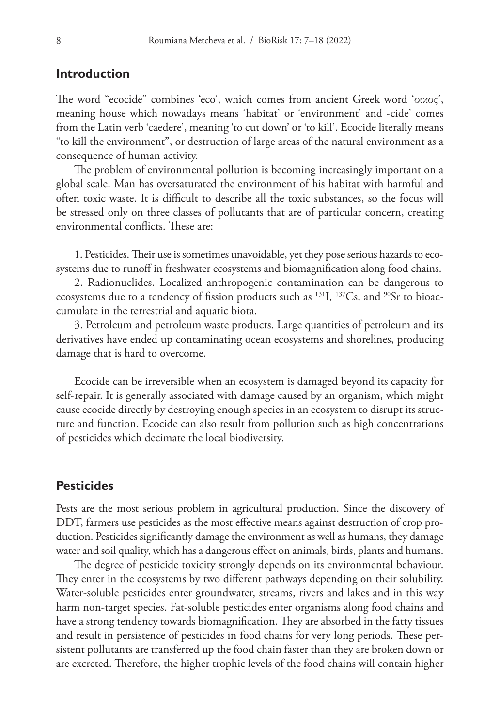### **Introduction**

The word "ecocide" combines 'eco', which comes from ancient Greek word 'οικος', meaning house which nowadays means 'habitat' or 'environment' and -cide' comes from the Latin verb 'caedere', meaning 'to cut down' or 'to kill'. Ecocide literally means "to kill the environment", or destruction of large areas of the natural environment as a consequence of human activity.

The problem of environmental pollution is becoming increasingly important on a global scale. Man has oversaturated the environment of his habitat with harmful and often toxic waste. It is difficult to describe all the toxic substances, so the focus will be stressed only on three classes of pollutants that are of particular concern, creating environmental conflicts. These are:

1. Pesticides. Their use is sometimes unavoidable, yet they pose serious hazards to ecosystems due to runoff in freshwater ecosystems and biomagnification along food chains.

2. Radionuclides. Localized anthropogenic contamination can be dangerous to ecosystems due to a tendency of fission products such as <sup>131</sup>I, <sup>137</sup>Cs, and <sup>90</sup>Sr to bioaccumulate in the terrestrial and aquatic biota.

3. Petroleum and petroleum waste products. Large quantities of petroleum and its derivatives have ended up contaminating ocean ecosystems and shorelines, producing damage that is hard to overcome.

Ecocide can be irreversible when an ecosystem is damaged beyond its capacity for self-repair. It is generally associated with damage caused by an organism, which might cause ecocide directly by destroying enough species in an ecosystem to disrupt its structure and function. Ecocide can also result from pollution such as high concentrations of pesticides which decimate the local biodiversity.

#### **Pesticides**

Pests are the most serious problem in agricultural production. Since the discovery of DDT, farmers use pesticides as the most effective means against destruction of crop production. Pesticides significantly damage the environment as well as humans, they damage water and soil quality, which has a dangerous effect on animals, birds, plants and humans.

The degree of pesticide toxicity strongly depends on its environmental behaviour. They enter in the ecosystems by two different pathways depending on their solubility. Water-soluble pesticides enter groundwater, streams, rivers and lakes and in this way harm non-target species. Fat-soluble pesticides enter organisms along food chains and have a strong tendency towards biomagnification. They are absorbed in the fatty tissues and result in persistence of pesticides in food chains for very long periods. These persistent pollutants are transferred up the food chain faster than they are broken down or are excreted. Therefore, the higher trophic levels of the food chains will contain higher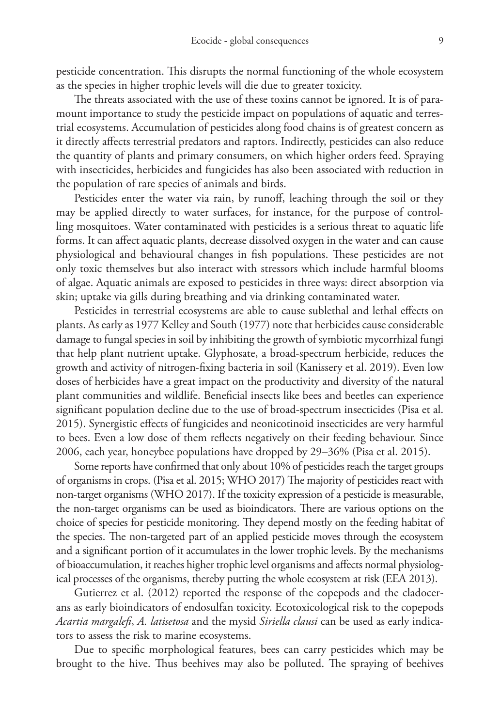pesticide concentration. This disrupts the normal functioning of the whole ecosystem as the species in higher trophic levels will die due to greater toxicity.

The threats associated with the use of these toxins cannot be ignored. It is of paramount importance to study the pesticide impact on populations of aquatic and terrestrial ecosystems. Accumulation of pesticides along food chains is of greatest concern as it directly affects terrestrial predators and raptors. Indirectly, pesticides can also reduce the quantity of plants and primary consumers, on which higher orders feed. Spraying with insecticides, herbicides and fungicides has also been associated with reduction in the population of rare species of animals and birds.

Pesticides enter the water via rain, by runoff, leaching through the soil or they may be applied directly to water surfaces, for instance, for the purpose of controlling mosquitoes. Water contaminated with pesticides is a serious threat to aquatic life forms. It can affect aquatic plants, decrease dissolved oxygen in the water and can cause physiological and behavioural changes in fish populations. These pesticides are not only toxic themselves but also interact with stressors which include harmful blooms of algae. Aquatic animals are exposed to pesticides in three ways: direct absorption via skin; uptake via gills during breathing and via drinking contaminated water.

Pesticides in terrestrial ecosystems are able to cause sublethal and lethal effects on plants. As early as 1977 Kelley and South (1977) note that herbicides cause considerable damage to fungal species in soil by inhibiting the growth of symbiotic mycorrhizal fungi that help plant nutrient uptake. Glyphosate, a broad-spectrum herbicide, reduces the growth and activity of nitrogen-fixing bacteria in soil (Kanissery et al. 2019). Even low doses of herbicides have a great impact on the productivity and diversity of the natural plant communities and wildlife. Beneficial insects like bees and beetles can experience significant population decline due to the use of broad-spectrum insecticides (Pisa et al. 2015). Synergistic effects of fungicides and neonicotinoid insecticides are very harmful to bees. Even a low dose of them reflects negatively on their feeding behaviour. Since 2006, each year, honeybee populations have dropped by 29–36% (Pisa et al. 2015).

Some reports have confirmed that only about 10% of pesticides reach the target groups of organisms in crops. (Pisa et al. 2015; WHO 2017) The majority of pesticides react with non-target organisms (WHO 2017). If the toxicity expression of a pesticide is measurable, the non-target organisms can be used as bioindicators. There are various options on the choice of species for pesticide monitoring. They depend mostly on the feeding habitat of the species. The non-targeted part of an applied pesticide moves through the ecosystem and a significant portion of it accumulates in the lower trophic levels. By the mechanisms of bioaccumulation, it reaches higher trophic level organisms and affects normal physiological processes of the organisms, thereby putting the whole ecosystem at risk (EEA 2013).

Gutierrez et al. (2012) reported the response of the copepods and the cladocerans as early bioindicators of endosulfan toxicity. Ecotoxicological risk to the copepods *Acartia margalefi*, *A. latisetosa* and the mysid *Siriella clausi* can be used as early indicators to assess the risk to marine ecosystems.

Due to specific morphological features, bees can carry pesticides which may be brought to the hive. Thus beehives may also be polluted. The spraying of beehives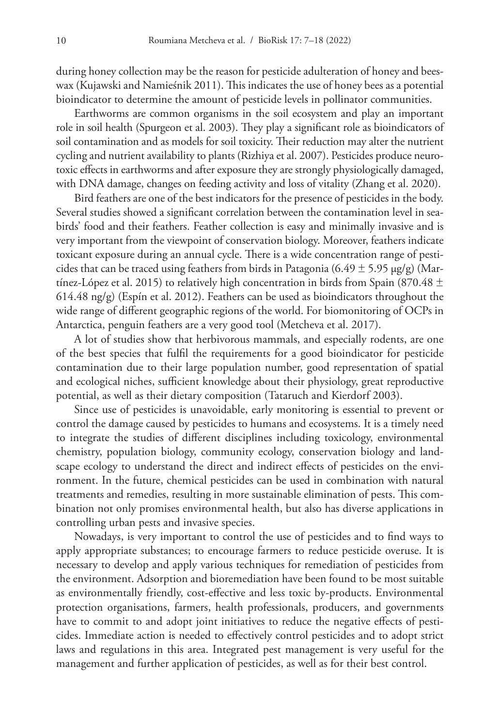during honey collection may be the reason for pesticide adulteration of honey and beeswax (Kujawski and Namieśnik 2011). This indicates the use of honey bees as a potential bioindicator to determine the amount of pesticide levels in pollinator communities.

Earthworms are common organisms in the soil ecosystem and play an important role in soil health (Spurgeon et al. 2003). They play a significant role as bioindicators of soil contamination and as models for soil toxicity. Their reduction may alter the nutrient cycling and nutrient availability to plants (Rizhiya et al. 2007). Pesticides produce neurotoxic effects in earthworms and after exposure they are strongly physiologically damaged, with DNA damage, changes on feeding activity and loss of vitality (Zhang et al. 2020).

Bird feathers are one of the best indicators for the presence of pesticides in the body. Several studies showed a significant correlation between the contamination level in seabirds' food and their feathers. Feather collection is easy and minimally invasive and is very important from the viewpoint of conservation biology. Moreover, feathers indicate toxicant exposure during an annual cycle. There is a wide concentration range of pesticides that can be traced using feathers from birds in Patagonia (6.49  $\pm$  5.95  $\mu$ g/g) (Martínez-López et al. 2015) to relatively high concentration in birds from Spain (870.48  $\pm$ 614.48 ng/g) (Espín et al. 2012). Feathers can be used as bioindicators throughout the wide range of different geographic regions of the world. For biomonitoring of OCPs in Antarctica, penguin feathers are a very good tool (Metcheva et al. 2017).

A lot of studies show that herbivorous mammals, and especially rodents, are one of the best species that fulfil the requirements for a good bioindicator for pesticide contamination due to their large population number, good representation of spatial and ecological niches, sufficient knowledge about their physiology, great reproductive potential, as well as their dietary composition (Tataruch and Kierdorf 2003).

Since use of pesticides is unavoidable, early monitoring is essential to prevent or control the damage caused by pesticides to humans and ecosystems. It is a timely need to integrate the studies of different disciplines including toxicology, environmental chemistry, population biology, community ecology, conservation biology and landscape ecology to understand the direct and indirect effects of pesticides on the environment. In the future, chemical pesticides can be used in combination with natural treatments and remedies, resulting in more sustainable elimination of pests. This combination not only promises environmental health, but also has diverse applications in controlling urban pests and invasive species.

Nowadays, is very important to control the use of pesticides and to find ways to apply appropriate substances; to encourage farmers to reduce pesticide overuse. It is necessary to develop and apply various techniques for remediation of pesticides from the environment. Adsorption and bioremediation have been found to be most suitable as environmentally friendly, cost-effective and less toxic by-products. Environmental protection organisations, farmers, health professionals, producers, and governments have to commit to and adopt joint initiatives to reduce the negative effects of pesticides. Immediate action is needed to effectively control pesticides and to adopt strict laws and regulations in this area. Integrated pest management is very useful for the management and further application of pesticides, as well as for their best control.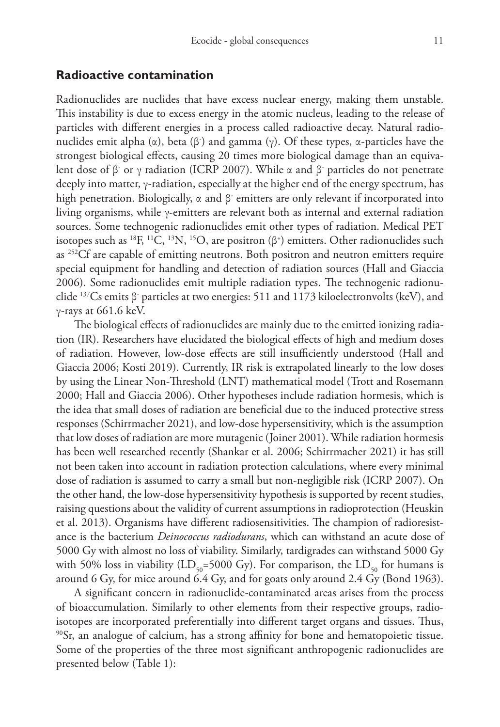## **Radioactive contamination**

Radionuclides are nuclides that have excess nuclear energy, making them unstable. This instability is due to excess energy in the atomic nucleus, leading to the release of particles with different energies in a process called radioactive decay. Natural radionuclides emit alpha (α), beta (β<sup>-</sup>) and gamma (γ). Of these types, α-particles have the strongest biological effects, causing 20 times more biological damage than an equivalent dose of β- or γ radiation (ICRP 2007). While α and β- particles do not penetrate deeply into matter, γ-radiation, especially at the higher end of the energy spectrum, has high penetration. Biologically, α and β $\cdot$  emitters are only relevant if incorporated into living organisms, while γ-emitters are relevant both as internal and external radiation sources. Some technogenic radionuclides emit other types of radiation. Medical PET isotopes such as  $^{18}F$ ,  $^{11}C$ ,  $^{13}N$ ,  $^{15}O$ , are positron ( $\beta$ <sup>+</sup>) emitters. Other radionuclides such as <sup>252</sup>Cf are capable of emitting neutrons. Both positron and neutron emitters require special equipment for handling and detection of radiation sources (Hall and Giaccia 2006). Some radionuclides emit multiple radiation types. The technogenic radionuclide <sup>137</sup>Cs emits β<sup>-</sup> particles at two energies: 511 and 1173 kiloelectronvolts (keV), and γ-rays at 661.6 keV.

The biological effects of radionuclides are mainly due to the emitted ionizing radiation (IR). Researchers have elucidated the biological effects of high and medium doses of radiation. However, low-dose effects are still insufficiently understood (Hall and Giaccia 2006; Kosti 2019). Currently, IR risk is extrapolated linearly to the low doses by using the Linear Non-Threshold (LNT) mathematical model (Trott and Rosemann 2000; Hall and Giaccia 2006). Other hypotheses include radiation hormesis, which is the idea that small doses of radiation are beneficial due to the induced protective stress responses (Schirrmacher 2021), and low-dose hypersensitivity, which is the assumption that low doses of radiation are more mutagenic (Joiner 2001). While radiation hormesis has been well researched recently (Shankar et al. 2006; Schirrmacher 2021) it has still not been taken into account in radiation protection calculations, where every minimal dose of radiation is assumed to carry a small but non-negligible risk (ICRP 2007). On the other hand, the low-dose hypersensitivity hypothesis is supported by recent studies, raising questions about the validity of current assumptions in radioprotection (Heuskin et al. 2013). Organisms have different radiosensitivities. The champion of radioresistance is the bacterium *Deinococcus radiodurans*, which can withstand an acute dose of 5000 Gy with almost no loss of viability. Similarly, tardigrades can withstand 5000 Gy with 50% loss in viability (LD<sub>50</sub>=5000 Gy). For comparison, the LD<sub>50</sub> for humans is around 6 Gy, for mice around 6.4 Gy, and for goats only around 2.4 Gy (Bond 1963).

A significant concern in radionuclide-contaminated areas arises from the process of bioaccumulation. Similarly to other elements from their respective groups, radioisotopes are incorporated preferentially into different target organs and tissues. Thus, 90Sr, an analogue of calcium, has a strong affinity for bone and hematopoietic tissue. Some of the properties of the three most significant anthropogenic radionuclides are presented below (Table 1):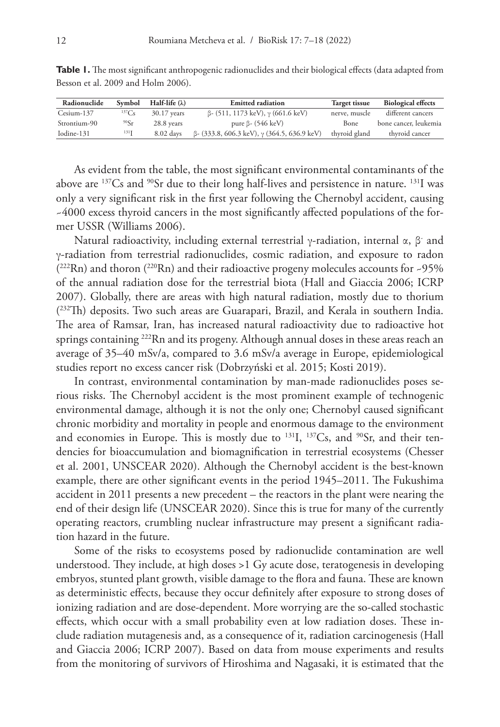| Radionuclide | Symbol           | Half-life $(\lambda)$ | <b>Emitted radiation</b>                                  | Target tissue | <b>Biological effects</b> |
|--------------|------------------|-----------------------|-----------------------------------------------------------|---------------|---------------------------|
| Cesium-137   | ${}^{137}Cs$     | $30.17$ years         | $\beta$ - (511, 1173 keV), $\gamma$ (661.6 keV)           | nerve, muscle | different cancers         |
| Strontium-90 | 90Sr             | 28.8 years            | pure $\beta$ - (546 keV)                                  | Bone          | bone cancer, leukemia     |
| Iodine-131   | 131 <sub>T</sub> | 8.02 days             | $\beta$ - (333.8, 606.3 keV), $\gamma$ (364.5, 636.9 keV) | thyroid gland | thyroid cancer            |

**Table 1.** The most significant anthropogenic radionuclides and their biological effects (data adapted from Besson et al. 2009 and Holm 2006).

As evident from the table, the most significant environmental contaminants of the above are 137Cs and 90Sr due to their long half-lives and persistence in nature. 131I was only a very significant risk in the first year following the Chernobyl accident, causing ~4000 excess thyroid cancers in the most significantly affected populations of the former USSR (Williams 2006).

Natural radioactivity, including external terrestrial γ-radiation, internal α, β- and γ-radiation from terrestrial radionuclides, cosmic radiation, and exposure to radon  $(^{222}Rn)$  and thoron  $(^{220}Rn)$  and their radioactive progeny molecules accounts for ~95% of the annual radiation dose for the terrestrial biota (Hall and Giaccia 2006; ICRP 2007). Globally, there are areas with high natural radiation, mostly due to thorium ( 232Th) deposits. Two such areas are Guarapari, Brazil, and Kerala in southern India. The area of Ramsar, Iran, has increased natural radioactivity due to radioactive hot springs containing <sup>222</sup>Rn and its progeny. Although annual doses in these areas reach an average of 35–40 mSv/a, compared to 3.6 mSv/a average in Europe, epidemiological studies report no excess cancer risk (Dobrzyński et al. 2015; Kosti 2019).

In contrast, environmental contamination by man-made radionuclides poses serious risks. The Chernobyl accident is the most prominent example of technogenic environmental damage, although it is not the only one; Chernobyl caused significant chronic morbidity and mortality in people and enormous damage to the environment and economies in Europe. This is mostly due to  $^{131}I$ ,  $^{137}Cs$ , and  $^{90}Sr$ , and their tendencies for bioaccumulation and biomagnification in terrestrial ecosystems (Chesser et al. 2001, UNSCEAR 2020). Although the Chernobyl accident is the best-known example, there are other significant events in the period 1945–2011. The Fukushima accident in 2011 presents a new precedent – the reactors in the plant were nearing the end of their design life (UNSCEAR 2020). Since this is true for many of the currently operating reactors, crumbling nuclear infrastructure may present a significant radiation hazard in the future.

Some of the risks to ecosystems posed by radionuclide contamination are well understood. They include, at high doses >1 Gy acute dose, teratogenesis in developing embryos, stunted plant growth, visible damage to the flora and fauna. These are known as deterministic effects, because they occur definitely after exposure to strong doses of ionizing radiation and are dose-dependent. More worrying are the so-called stochastic effects, which occur with a small probability even at low radiation doses. These include radiation mutagenesis and, as a consequence of it, radiation carcinogenesis (Hall and Giaccia 2006; ICRP 2007). Based on data from mouse experiments and results from the monitoring of survivors of Hiroshima and Nagasaki, it is estimated that the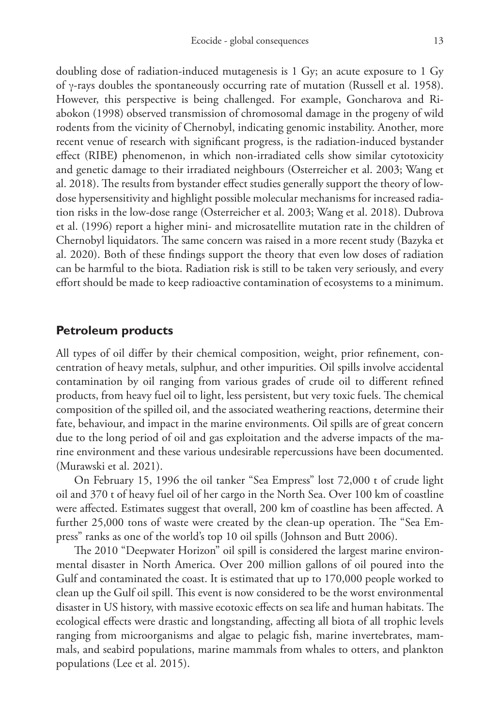doubling dose of radiation-induced mutagenesis is 1 Gy; an acute exposure to 1 Gy of γ-rays doubles the spontaneously occurring rate of mutation (Russell et al. 1958). However, this perspective is being challenged. For example, Goncharova and Riabokon (1998) observed transmission of chromosomal damage in the progeny of wild rodents from the vicinity of Chernobyl, indicating genomic instability. Another, more recent venue of research with significant progress, is the radiation-induced bystander effect (RIBE**)** phenomenon, in which non-irradiated cells show similar cytotoxicity and genetic damage to their irradiated neighbours (Osterreicher et al. 2003; Wang et al. 2018). The results from bystander effect studies generally support the theory of lowdose hypersensitivity and highlight possible molecular mechanisms for increased radiation risks in the low-dose range (Osterreicher et al. 2003; Wang et al. 2018). Dubrova et al. (1996) report a higher mini- and microsatellite mutation rate in the children of Chernobyl liquidators. The same concern was raised in a more recent study (Bazyka et al. 2020). Both of these findings support the theory that even low doses of radiation can be harmful to the biota. Radiation risk is still to be taken very seriously, and every effort should be made to keep radioactive contamination of ecosystems to a minimum.

### **Petroleum products**

All types of oil differ by their chemical composition, weight, prior refinement, concentration of heavy metals, sulphur, and other impurities. Oil spills involve accidental contamination by oil ranging from various grades of crude oil to different refined products, from heavy fuel oil to light, less persistent, but very toxic fuels. The chemical composition of the spilled oil, and the associated weathering reactions, determine their fate, behaviour, and impact in the marine environments. Oil spills are of great concern due to the long period of oil and gas exploitation and the adverse impacts of the marine environment and these various undesirable repercussions have been documented. (Murawski et al. 2021).

On February 15, 1996 the oil tanker "Sea Empress" lost 72,000 t of crude light oil and 370 t of heavy fuel oil of her cargo in the North Sea. Over 100 km of coastline were affected. Estimates suggest that overall, 200 km of coastline has been affected. A further 25,000 tons of waste were created by the clean-up operation. The "Sea Empress" ranks as one of the world's top 10 oil spills (Johnson and Butt 2006).

The 2010 "Deepwater Horizon" oil spill is considered the largest marine environmental disaster in North America. Over 200 million gallons of oil poured into the Gulf and contaminated the coast. It is estimated that up to 170,000 people worked to clean up the Gulf oil spill. This event is now considered to be the worst environmental disaster in US history, with massive ecotoxic effects on sea life and human habitats. The ecological effects were drastic and longstanding, affecting all biota of all trophic levels ranging from microorganisms and algae to pelagic fish, marine invertebrates, mammals, and seabird populations, marine mammals from whales to otters, and plankton populations (Lee et al. 2015).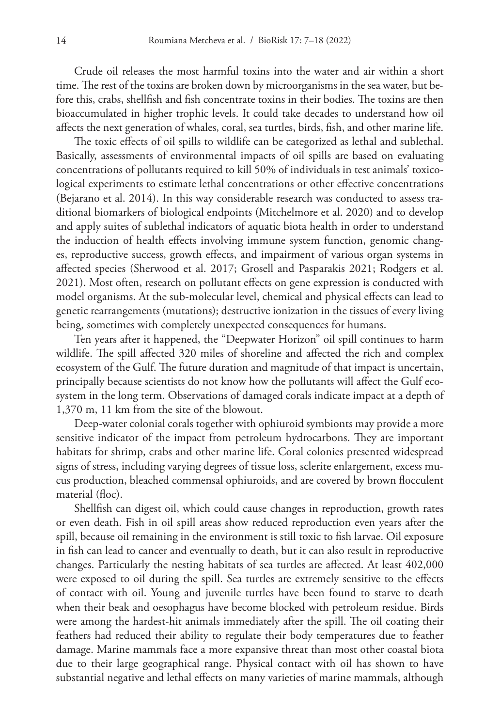Crude oil releases the most harmful toxins into the water and air within a short time. The rest of the toxins are broken down by microorganisms in the sea water, but before this, crabs, shellfish and fish concentrate toxins in their bodies. The toxins are then bioaccumulated in higher trophic levels. It could take decades to understand how oil affects the next generation of whales, coral, sea turtles, birds, fish, and other marine life.

The toxic effects of oil spills to wildlife can be categorized as lethal and sublethal. Basically, assessments of environmental impacts of oil spills are based on evaluating concentrations of pollutants required to kill 50% of individuals in test animals' toxicological experiments to estimate lethal concentrations or other effective concentrations (Bejarano et al. 2014). In this way considerable research was conducted to assess traditional biomarkers of biological endpoints (Mitchelmore et al. 2020) and to develop and apply suites of sublethal indicators of aquatic biota health in order to understand the induction of health effects involving immune system function, genomic changes, reproductive success, growth effects, and impairment of various organ systems in affected species (Sherwood et al. 2017; Grosell and Pasparakis 2021; Rodgers et al. 2021). Most often, research on pollutant effects on gene expression is conducted with model organisms. At the sub-molecular level, chemical and physical effects can lead to genetic rearrangements (mutations); destructive ionization in the tissues of every living being, sometimes with completely unexpected consequences for humans.

Ten years after it happened, the "Deepwater Horizon" oil spill continues to harm wildlife. The spill affected 320 miles of shoreline and affected the rich and complex ecosystem of the Gulf. The future duration and magnitude of that impact is uncertain, principally because scientists do not know how the pollutants will affect the Gulf ecosystem in the long term. Observations of damaged corals indicate impact at a depth of 1,370 m, 11 km from the site of the blowout.

Deep-water colonial corals together with ophiuroid symbionts may provide a more sensitive indicator of the impact from petroleum hydrocarbons. They are important habitats for shrimp, crabs and other marine life. Coral colonies presented widespread signs of stress, including varying degrees of tissue loss, sclerite enlargement, excess mucus production, bleached commensal ophiuroids, and are covered by brown flocculent material (floc).

Shellfish can digest oil, which could cause changes in reproduction, growth rates or even death. Fish in oil spill areas show reduced reproduction even years after the spill, because oil remaining in the environment is still toxic to fish larvae. Oil exposure in fish can lead to cancer and eventually to death, but it can also result in reproductive changes. Particularly the nesting habitats of sea turtles are affected. At least 402,000 were exposed to oil during the spill. Sea turtles are extremely sensitive to the effects of contact with oil. Young and juvenile turtles have been found to starve to death when their beak and oesophagus have become blocked with petroleum residue. Birds were among the hardest-hit animals immediately after the spill. The oil coating their feathers had reduced their ability to regulate their body temperatures due to feather damage. Marine mammals face a more expansive threat than most other coastal biota due to their large geographical range. Physical contact with oil has shown to have substantial negative and lethal effects on many varieties of marine mammals, although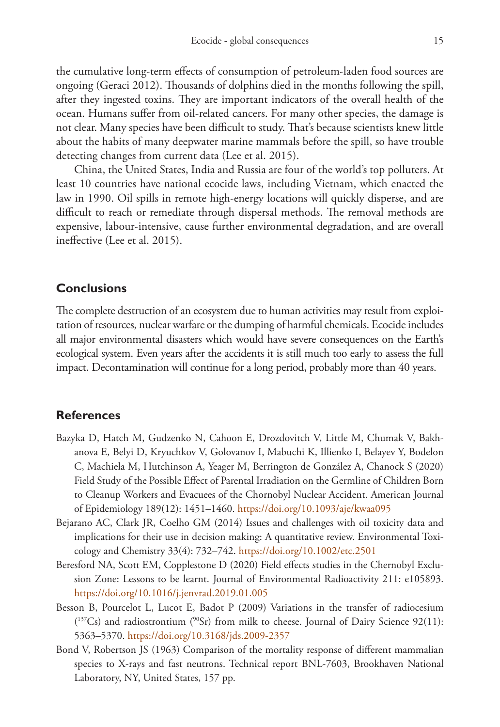the cumulative long-term effects of consumption of petroleum-laden food sources are ongoing (Geraci 2012). Thousands of dolphins died in the months following the spill, after they ingested toxins. They are important indicators of the overall health of the ocean. Humans suffer from oil-related cancers. For many other species, the damage is not clear. Many species have been difficult to study. That's because scientists knew little about the habits of many deepwater marine mammals before the spill, so have trouble detecting changes from current data (Lee et al. 2015).

China, the United States, India and Russia are four of the world's top polluters. At least 10 countries have national ecocide laws, including Vietnam, which enacted the law in 1990. Oil spills in remote high-energy locations will quickly disperse, and are difficult to reach or remediate through dispersal methods. The removal methods are expensive, labour-intensive, cause further environmental degradation, and are overall ineffective (Lee et al. 2015).

## **Conclusions**

The complete destruction of an ecosystem due to human activities may result from exploitation of resources, nuclear warfare or the dumping of harmful chemicals. Ecocide includes all major environmental disasters which would have severe consequences on the Earth's ecological system. Even years after the accidents it is still much too early to assess the full impact. Decontamination will continue for a long period, probably more than 40 years.

### **References**

- Bazyka D, Hatch M, Gudzenko N, Cahoon E, Drozdovitch V, Little M, Chumak V, Bakhanova E, Belyi D, Kryuchkov V, Golovanov I, Mabuchi K, Illienko I, Belayev Y, Bodelon C, Machiela M, Hutchinson A, Yeager M, Berrington de González A, Chanock S (2020) Field Study of the Possible Effect of Parental Irradiation on the Germline of Children Born to Cleanup Workers and Evacuees of the Chornobyl Nuclear Accident. American Journal of Epidemiology 189(12): 1451–1460.<https://doi.org/10.1093/aje/kwaa095>
- Bejarano AC, Clark JR, Coelho GM (2014) Issues and challenges with oil toxicity data and implications for their use in decision making: A quantitative review. Environmental Toxicology and Chemistry 33(4): 732–742.<https://doi.org/10.1002/etc.2501>
- Beresford NA, Scott EM, Copplestone D (2020) Field effects studies in the Chernobyl Exclusion Zone: Lessons to be learnt. Journal of Environmental Radioactivity 211: e105893. <https://doi.org/10.1016/j.jenvrad.2019.01.005>
- Besson B, Pourcelot L, Lucot E, Badot P (2009) Variations in the transfer of radiocesium  $(^{137}Cs)$  and radiostrontium  $(^{90}Sr)$  from milk to cheese. Journal of Dairy Science 92(11): 5363–5370.<https://doi.org/10.3168/jds.2009-2357>
- Bond V, Robertson JS (1963) Comparison of the mortality response of different mammalian species to X-rays and fast neutrons. Technical report BNL-7603, Brookhaven National Laboratory, NY, United States, 157 pp.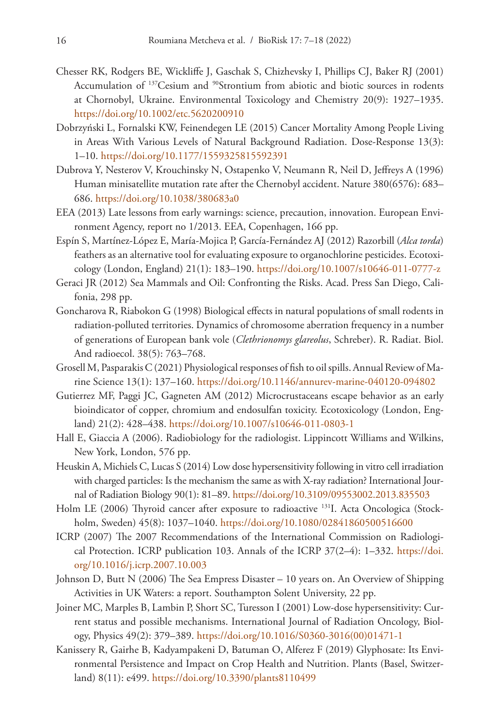- Chesser RK, Rodgers BE, Wickliffe J, Gaschak S, Chizhevsky I, Phillips CJ, Baker RJ (2001) Accumulation of <sup>137</sup>Cesium and <sup>90</sup>Strontium from abiotic and biotic sources in rodents at Chornobyl, Ukraine. Environmental Toxicology and Chemistry 20(9): 1927–1935. <https://doi.org/10.1002/etc.5620200910>
- Dobrzyński L, Fornalski KW, Feinendegen LE (2015) Cancer Mortality Among People Living in Areas With Various Levels of Natural Background Radiation. Dose-Response 13(3): 1–10.<https://doi.org/10.1177/1559325815592391>
- Dubrova Y, Nesterov V, Krouchinsky N, Ostapenko V, Neumann R, Neil D, Jeffreys A (1996) Human minisatellite mutation rate after the Chernobyl accident. Nature 380(6576): 683– 686.<https://doi.org/10.1038/380683a0>
- EEA (2013) Late lessons from early warnings: science, precaution, innovation. European Environment Agency, report no 1/2013. EEA, Copenhagen, 166 pp.
- Espín S, Martínez-López E, María-Mojica P, García-Fernández AJ (2012) Razorbill (*Alca torda*) feathers as an alternative tool for evaluating exposure to organochlorine pesticides. Ecotoxicology (London, England) 21(1): 183–190.<https://doi.org/10.1007/s10646-011-0777-z>
- Geraci JR (2012) Sea Mammals and Oil: Confronting the Risks. Acad. Press San Diego, Califonia, 298 pp.
- Goncharova R, Riabokon G (1998) Biological effects in natural populations of small rodents in radiation-polluted territories. Dynamics of chromosome aberration frequency in a number of generations of European bank vole (*Clethrionomys glareolus*, Schreber). R. Radiat. Biol. And radioecol. 38(5): 763–768.
- Grosell M, Pasparakis C (2021) Physiological responses of fish to oil spills. Annual Review of Marine Science 13(1): 137–160. <https://doi.org/10.1146/annurev-marine-040120-094802>
- Gutierrez MF, Paggi JC, Gagneten AM (2012) Microcrustaceans escape behavior as an early bioindicator of copper, chromium and endosulfan toxicity. Ecotoxicology (London, England) 21(2): 428–438.<https://doi.org/10.1007/s10646-011-0803-1>
- Hall E, Giaccia A (2006). Radiobiology for the radiologist. Lippincott Williams and Wilkins, New York, London, 576 pp.
- Heuskin A, Michiels C, Lucas S (2014) Low dose hypersensitivity following in vitro cell irradiation with charged particles: Is the mechanism the same as with X-ray radiation? International Journal of Radiation Biology 90(1): 81–89. <https://doi.org/10.3109/09553002.2013.835503>
- Holm LE (2006) Thyroid cancer after exposure to radioactive 131I. Acta Oncologica (Stockholm, Sweden) 45(8): 1037–1040.<https://doi.org/10.1080/02841860500516600>
- ICRP (2007) The 2007 Recommendations of the International Commission on Radiological Protection. ICRP publication 103. Annals of the ICRP 37(2–4): 1–332. [https://doi.](https://doi.org/10.1016/j.icrp.2007.10.003) [org/10.1016/j.icrp.2007.10.003](https://doi.org/10.1016/j.icrp.2007.10.003)
- Johnson D, Butt N (2006) The Sea Empress Disaster 10 years on. An Overview of Shipping Activities in UK Waters: a report. Southampton Solent University, 22 pp.
- Joiner MC, Marples B, Lambin P, Short SC, Turesson I (2001) Low-dose hypersensitivity: Current status and possible mechanisms. International Journal of Radiation Oncology, Biology, Physics 49(2): 379–389. [https://doi.org/10.1016/S0360-3016\(00\)01471-1](https://doi.org/10.1016/S0360-3016(00)01471-1)
- Kanissery R, Gairhe B, Kadyampakeni D, Batuman O, Alferez F (2019) Glyphosate: Its Environmental Persistence and Impact on Crop Health and Nutrition. Plants (Basel, Switzerland) 8(11): e499.<https://doi.org/10.3390/plants8110499>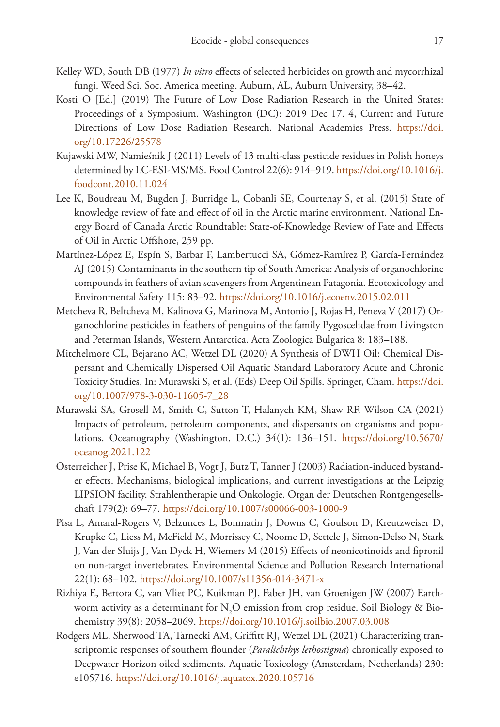- Kelley WD, South DB (1977) *In vitro* effects of selected herbicides on growth and mycorrhizal fungi. Weed Sci. Soc. America meeting. Auburn, AL, Auburn University, 38–42.
- Kosti O [Ed.] (2019) The Future of Low Dose Radiation Research in the United States: Proceedings of a Symposium. Washington (DC): 2019 Dec 17. 4, Current and Future Directions of Low Dose Radiation Research. National Academies Press. [https://doi.](https://doi.org/10.17226/25578) [org/10.17226/25578](https://doi.org/10.17226/25578)
- Kujawski MW, Namieśnik J (2011) Levels of 13 multi-class pesticide residues in Polish honeys determined by LC-ESI-MS/MS. Food Control 22(6): 914–919. [https://doi.org/10.1016/j.](https://doi.org/10.1016/j.foodcont.2010.11.024) [foodcont.2010.11.024](https://doi.org/10.1016/j.foodcont.2010.11.024)
- Lee K, Boudreau M, Bugden J, Burridge L, Cobanli SE, Courtenay S, et al. (2015) State of knowledge review of fate and effect of oil in the Arctic marine environment. National Energy Board of Canada Arctic Roundtable: State-of-Knowledge Review of Fate and Effects of Oil in Arctic Offshore, 259 pp.
- Martínez-López E, Espín S, Barbar F, Lambertucci SA, Gómez-Ramírez P, García-Fernández AJ (2015) Contaminants in the southern tip of South America: Analysis of organochlorine compounds in feathers of avian scavengers from Argentinean Patagonia. Ecotoxicology and Environmental Safety 115: 83–92. <https://doi.org/10.1016/j.ecoenv.2015.02.011>
- Metcheva R, Beltcheva M, Kalinova G, Marinova M, Antonio J, Rojas H, Peneva V (2017) Organochlorine pesticides in feathers of penguins of the family Pygoscelidae from Livingston and Peterman Islands, Western Antarctica. Acta Zoologica Bulgarica 8: 183–188.
- Mitchelmore CL, Bejarano AC, Wetzel DL (2020) A Synthesis of DWH Oil: Chemical Dispersant and Chemically Dispersed Oil Aquatic Standard Laboratory Acute and Chronic Toxicity Studies. In: Murawski S, et al. (Eds) Deep Oil Spills. Springer, Cham. [https://doi.](https://doi.org/10.1007/978-3-030-11605-7_28) [org/10.1007/978-3-030-11605-7\\_28](https://doi.org/10.1007/978-3-030-11605-7_28)
- Murawski SA, Grosell M, Smith C, Sutton T, Halanych KM, Shaw RF, Wilson CA (2021) Impacts of petroleum, petroleum components, and dispersants on organisms and populations. Oceanography (Washington, D.C.) 34(1): 136–151. [https://doi.org/10.5670/](https://doi.org/10.5670/oceanog.2021.122) [oceanog.2021.122](https://doi.org/10.5670/oceanog.2021.122)
- Osterreicher J, Prise K, Michael B, Vogt J, Butz T, Tanner J (2003) Radiation-induced bystander effects. Mechanisms, biological implications, and current investigations at the Leipzig LIPSION facility. Strahlentherapie und Onkologie. Organ der Deutschen Rontgengesellschaft 179(2): 69–77. <https://doi.org/10.1007/s00066-003-1000-9>
- Pisa L, Amaral-Rogers V, Belzunces L, Bonmatin J, Downs C, Goulson D, Kreutzweiser D, Krupke C, Liess M, McField M, Morrissey C, Noome D, Settele J, Simon-Delso N, Stark J, Van der Sluijs J, Van Dyck H, Wiemers M (2015) Effects of neonicotinoids and fipronil on non-target invertebrates. Environmental Science and Pollution Research International 22(1): 68–102. <https://doi.org/10.1007/s11356-014-3471-x>
- Rizhiya E, Bertora C, van Vliet PC, Kuikman PJ, Faber JH, van Groenigen JW (2007) Earthworm activity as a determinant for  $\rm N_2O$  emission from crop residue. Soil Biology & Biochemistry 39(8): 2058–2069.<https://doi.org/10.1016/j.soilbio.2007.03.008>
- Rodgers ML, Sherwood TA, Tarnecki AM, Griffitt RJ, Wetzel DL (2021) Characterizing transcriptomic responses of southern flounder (*Paralichthys lethostigma*) chronically exposed to Deepwater Horizon oiled sediments. Aquatic Toxicology (Amsterdam, Netherlands) 230: e105716.<https://doi.org/10.1016/j.aquatox.2020.105716>